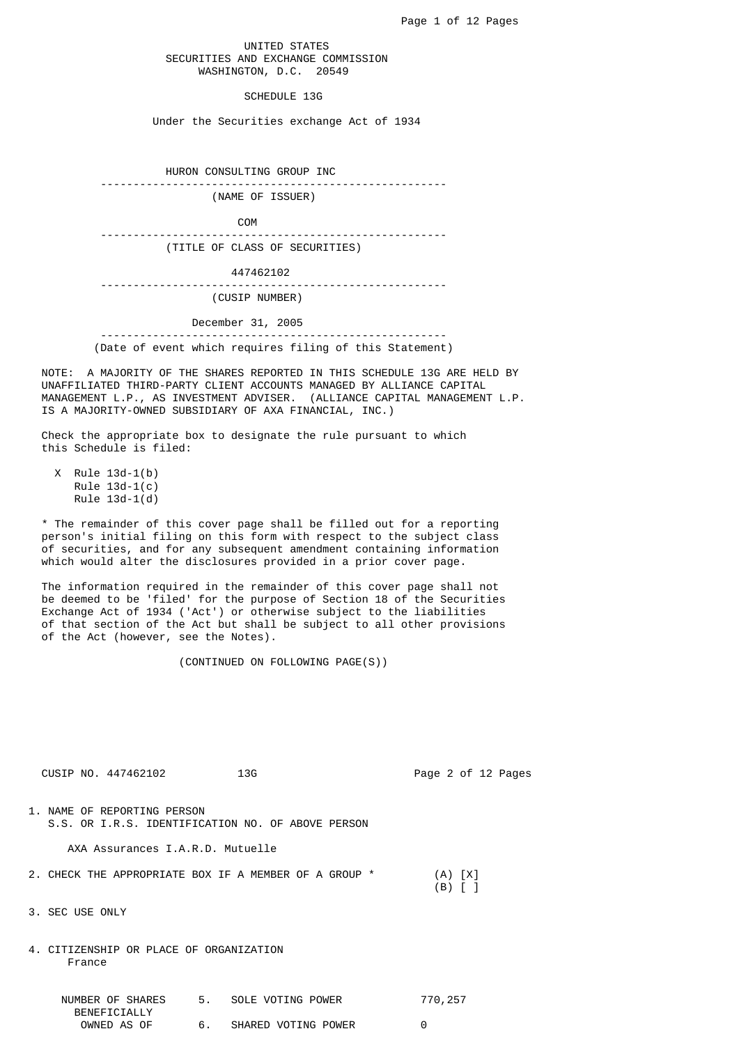## UNITED STATES SECURITIES AND EXCHANGE COMMISSION WASHINGTON, D.C. 20549

### SCHEDULE 13G

Under the Securities exchange Act of 1934

HURON CONSULTING GROUP INC ----------------------------------------------------- (NAME OF ISSUER)

COM

-----------------------------------------------------

(TITLE OF CLASS OF SECURITIES)

447462102

-----------------------------------------------------

(CUSIP NUMBER)

#### December 31, 2005

 ----------------------------------------------------- (Date of event which requires filing of this Statement)

 NOTE: A MAJORITY OF THE SHARES REPORTED IN THIS SCHEDULE 13G ARE HELD BY UNAFFILIATED THIRD-PARTY CLIENT ACCOUNTS MANAGED BY ALLIANCE CAPITAL MANAGEMENT L.P., AS INVESTMENT ADVISER. (ALLIANCE CAPITAL MANAGEMENT L.P. IS A MAJORITY-OWNED SUBSIDIARY OF AXA FINANCIAL, INC.)

 Check the appropriate box to designate the rule pursuant to which this Schedule is filed:

 X Rule 13d-1(b) Rule  $13d-1(c)$ Rule  $13d-1(d)$ 

 \* The remainder of this cover page shall be filled out for a reporting person's initial filing on this form with respect to the subject class of securities, and for any subsequent amendment containing information which would alter the disclosures provided in a prior cover page.

 The information required in the remainder of this cover page shall not be deemed to be 'filed' for the purpose of Section 18 of the Securities Exchange Act of 1934 ('Act') or otherwise subject to the liabilities of that section of the Act but shall be subject to all other provisions of the Act (however, see the Notes).

(CONTINUED ON FOLLOWING PAGE(S))

| CUSIP NO. 447462102                               | 13G                                                     | Page 2 of 12 Pages |
|---------------------------------------------------|---------------------------------------------------------|--------------------|
| 1. NAME OF REPORTING PERSON                       | S.S. OR I.R.S. IDENTIFICATION NO. OF ABOVE PERSON       |                    |
| AXA Assurances I.A.R.D. Mutuelle                  |                                                         |                    |
|                                                   | 2. CHECK THE APPROPRIATE BOX IF A MEMBER OF A GROUP $*$ | (A) [X]<br>(B)     |
| 3. SEC USE ONLY                                   |                                                         |                    |
| 4. CITIZENSHIP OR PLACE OF ORGANIZATION<br>France |                                                         |                    |
| NUMBER OF SHARES                                  | 5. SOLE VOTING POWER                                    | 770,257            |

| BENEFICIALLY |                     |  |
|--------------|---------------------|--|
| OWNED AS OF  | SHARED VOTING POWER |  |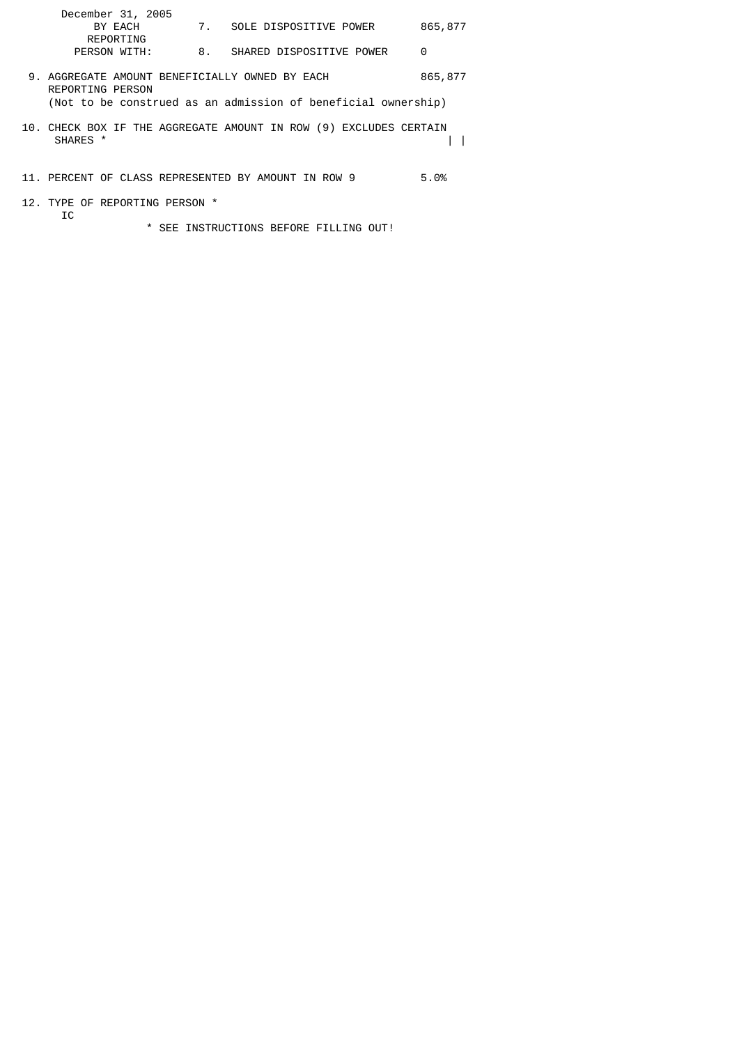| December 31, 2005                                                  |    |                                                                   |          |
|--------------------------------------------------------------------|----|-------------------------------------------------------------------|----------|
| BY EACH                                                            |    | 7. SOLE DISPOSITIVE POWER                                         | 865, 877 |
| REPORTING                                                          |    |                                                                   |          |
| PERSON WITH:                                                       | 8. | SHARED DISPOSITIVE POWER                                          | 0        |
| 9. AGGREGATE AMOUNT BENEFICIALLY OWNED BY EACH<br>REPORTING PERSON |    |                                                                   | 865,877  |
|                                                                    |    | (Not to be construed as an admission of beneficial ownership)     |          |
| SHARES <sup>*</sup>                                                |    | 10. CHECK BOX IF THE AGGREGATE AMOUNT IN ROW (9) EXCLUDES CERTAIN |          |
| 11. PERCENT OF CLASS REPRESENTED BY AMOUNT IN ROW 9                |    |                                                                   | 5.0%     |

 12. TYPE OF REPORTING PERSON \* IC

\* SEE INSTRUCTIONS BEFORE FILLING OUT!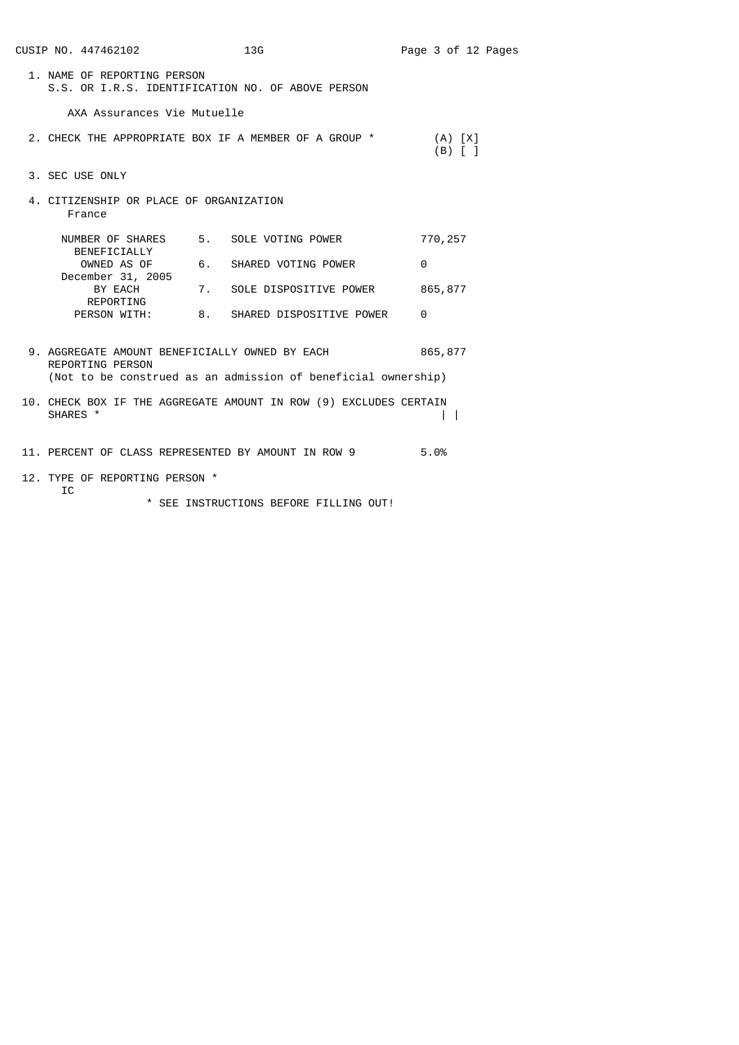| CUSIP NO. 447462102                               | 13G                                                                                                             | Page 3 of 12 Pages       |
|---------------------------------------------------|-----------------------------------------------------------------------------------------------------------------|--------------------------|
| 1. NAME OF REPORTING PERSON                       | S.S. OR I.R.S. IDENTIFICATION NO. OF ABOVE PERSON                                                               |                          |
| AXA Assurances Vie Mutuelle                       |                                                                                                                 |                          |
|                                                   | 2. CHECK THE APPROPRIATE BOX IF A MEMBER OF A GROUP *                                                           | (A) [X]<br>$(B)$ $[$ $]$ |
| 3. SEC USE ONLY                                   |                                                                                                                 |                          |
| 4. CITIZENSHIP OR PLACE OF ORGANIZATION<br>France |                                                                                                                 |                          |
| NUMBER OF SHARES<br>BENEFICIALLY                  | 5. SOLE VOTING POWER                                                                                            | 770,257                  |
| OWNED AS OF<br>December 31, 2005                  | 6.<br>SHARED VOTING POWER                                                                                       | 0                        |
| BY EACH<br>REPORTING                              | SOLE DISPOSITIVE POWER<br>7.                                                                                    | 865,877                  |
|                                                   | PERSON WITH: 8. SHARED DISPOSITIVE POWER                                                                        | 0                        |
| REPORTING PERSON                                  | 9. AGGREGATE AMOUNT BENEFICIALLY OWNED BY EACH<br>(Not to be construed as an admission of beneficial ownership) | 865,877                  |
| SHARES *                                          | 10. CHECK BOX IF THE AGGREGATE AMOUNT IN ROW (9) EXCLUDES CERTAIN                                               | $\mathbf{I}$             |
|                                                   | 11. PERCENT OF CLASS REPRESENTED BY AMOUNT IN ROW 9                                                             | 5.0%                     |
| 12. TYPE OF REPORTING PERSON *<br>IC              |                                                                                                                 |                          |

\* SEE INSTRUCTIONS BEFORE FILLING OUT!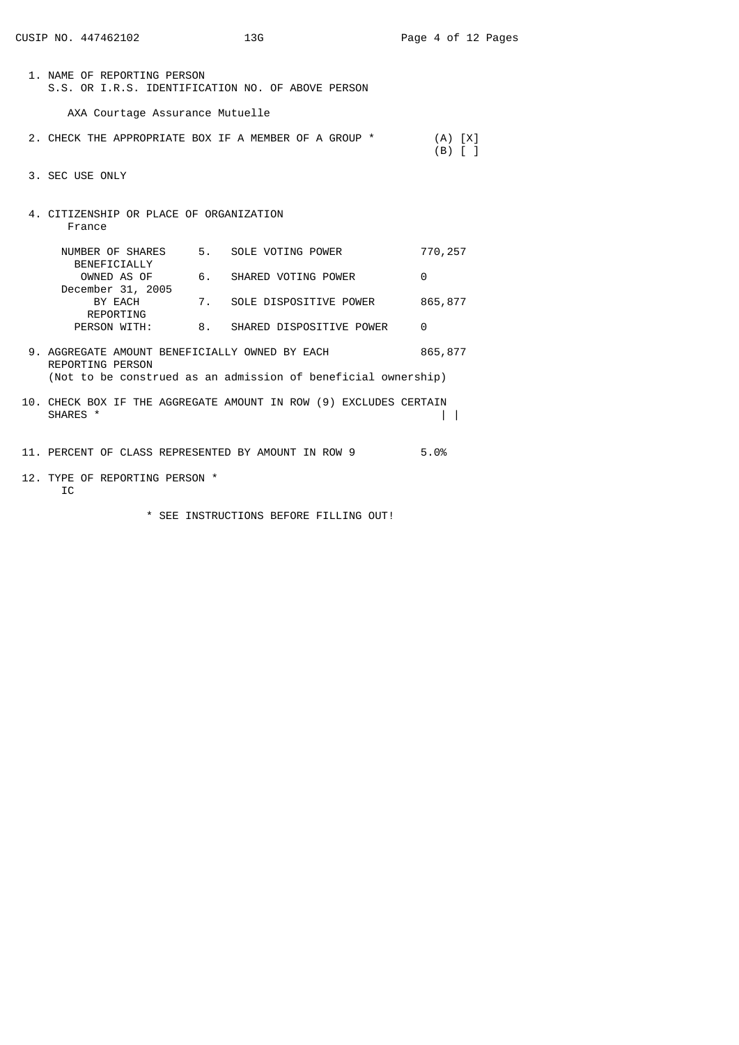| CUSIP NO. 447462102                                                | 13G                                                               | Page 4 of 12 Pages                     |
|--------------------------------------------------------------------|-------------------------------------------------------------------|----------------------------------------|
| 1. NAME OF REPORTING PERSON                                        | S.S. OR I.R.S. IDENTIFICATION NO. OF ABOVE PERSON                 |                                        |
| AXA Courtage Assurance Mutuelle                                    |                                                                   |                                        |
|                                                                    | 2. CHECK THE APPROPRIATE BOX IF A MEMBER OF A GROUP *             | $(A)$ $[X]$<br>$(B)$ $\lceil$ $\rceil$ |
| 3. SEC USE ONLY                                                    |                                                                   |                                        |
| 4. CITIZENSHIP OR PLACE OF ORGANIZATION<br>France                  |                                                                   |                                        |
| NUMBER OF SHARES<br>BENEFICIALLY                                   | 5. SOLE VOTING POWER                                              | 770,257                                |
| OWNED AS OF                                                        | 6. SHARED VOTING POWER                                            | 0                                      |
| December 31, 2005<br>BY EACH                                       | 7. SOLE DISPOSITIVE POWER                                         | 865,877                                |
| REPORTING<br>PERSON WITH:                                          | 8. SHARED DISPOSITIVE POWER                                       | $\Theta$                               |
| 9. AGGREGATE AMOUNT BENEFICIALLY OWNED BY EACH<br>REPORTING PERSON |                                                                   | 865,877                                |
|                                                                    | (Not to be construed as an admission of beneficial ownership)     |                                        |
| SHARES *                                                           | 10. CHECK BOX IF THE AGGREGATE AMOUNT IN ROW (9) EXCLUDES CERTAIN |                                        |
|                                                                    | 11. PERCENT OF CLASS REPRESENTED BY AMOUNT IN ROW 9               | 5.0%                                   |

- 12. TYPE OF REPORTING PERSON \* IC
	- \* SEE INSTRUCTIONS BEFORE FILLING OUT!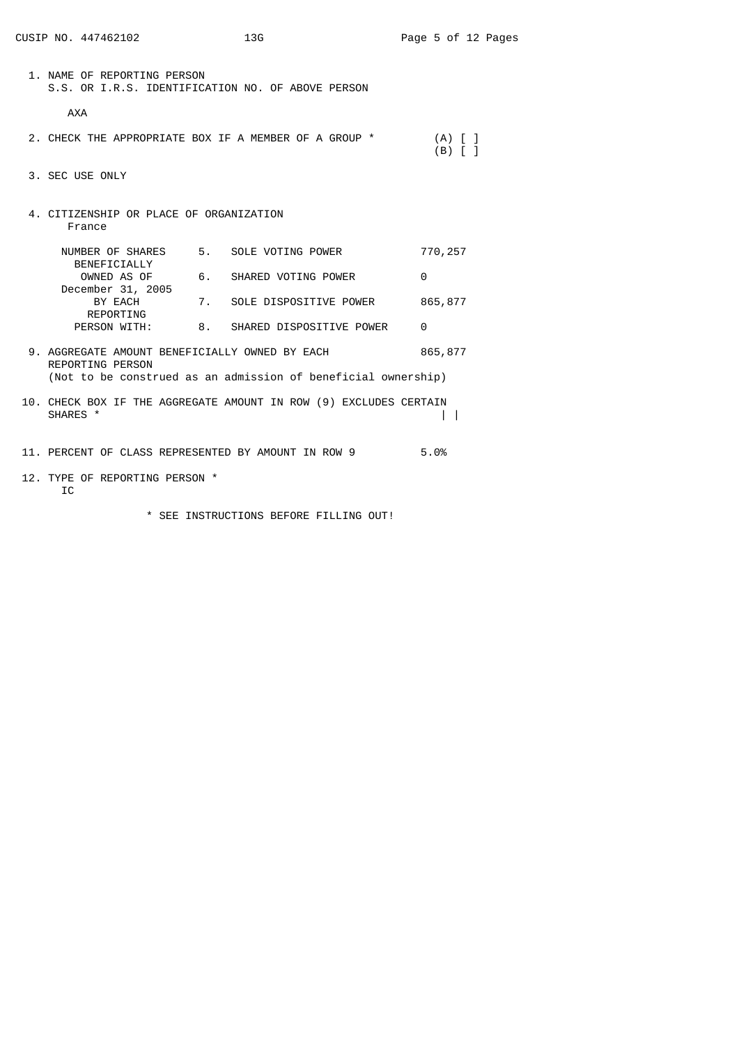| CUSIP NO. 447462102                                                | 13G                                                               | Page 5 of 12 Pages                   |
|--------------------------------------------------------------------|-------------------------------------------------------------------|--------------------------------------|
| 1. NAME OF REPORTING PERSON                                        | S.S. OR I.R.S. IDENTIFICATION NO. OF ABOVE PERSON                 |                                      |
| <b>AXA</b>                                                         |                                                                   |                                      |
|                                                                    | 2. CHECK THE APPROPRIATE BOX IF A MEMBER OF A GROUP *             | $(A)$ $\lceil$ $\rceil$<br>$(B)$ [ ] |
| 3. SEC USE ONLY                                                    |                                                                   |                                      |
| 4. CITIZENSHIP OR PLACE OF ORGANIZATION<br>France                  |                                                                   |                                      |
| BENEFICIALLY                                                       | NUMBER OF SHARES 5. SOLE VOTING POWER                             | 770,257                              |
| OWNED AS OF                                                        | 6. SHARED VOTING POWER                                            | $\Theta$                             |
| December 31, 2005<br>BY EACH<br>REPORTING                          | 7. SOLE DISPOSITIVE POWER                                         | 865,877                              |
|                                                                    | PERSON WITH: 8. SHARED DISPOSITIVE POWER                          | 0                                    |
| 9. AGGREGATE AMOUNT BENEFICIALLY OWNED BY EACH<br>REPORTING PERSON | (Not to be construed as an admission of beneficial ownership)     | 865,877                              |
| SHARES *                                                           | 10. CHECK BOX IF THE AGGREGATE AMOUNT IN ROW (9) EXCLUDES CERTAIN | $\mathbf{I}$                         |
|                                                                    | 11. PERCENT OF CLASS REPRESENTED BY AMOUNT IN ROW 9               | 5.0%                                 |
| 12. TYPE OF REPORTING PERSON *                                     |                                                                   |                                      |

- IC
- \* SEE INSTRUCTIONS BEFORE FILLING OUT!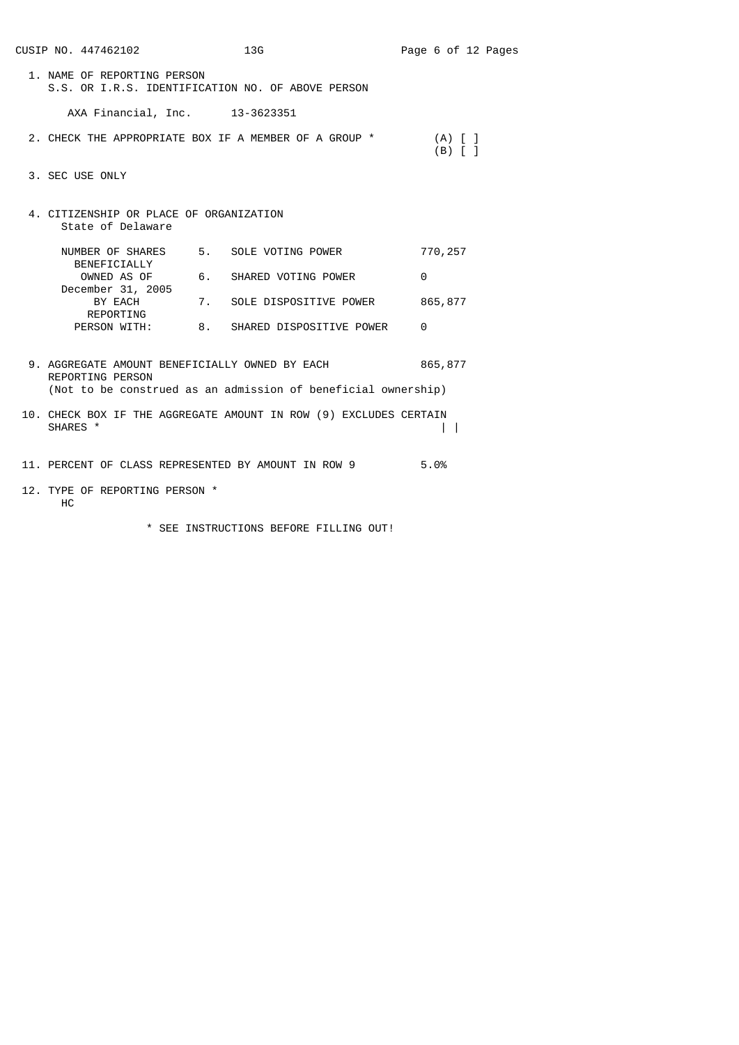|                                                                                                                                            | CUSIP NO. 447462102                                                              |    | 13G                                                   | Page 6 of 12 Pages |                                |  |  |  |
|--------------------------------------------------------------------------------------------------------------------------------------------|----------------------------------------------------------------------------------|----|-------------------------------------------------------|--------------------|--------------------------------|--|--|--|
|                                                                                                                                            | 1. NAME OF REPORTING PERSON<br>S.S. OR I.R.S. IDENTIFICATION NO. OF ABOVE PERSON |    |                                                       |                    |                                |  |  |  |
|                                                                                                                                            | AXA Financial, Inc. 13-3623351                                                   |    |                                                       |                    |                                |  |  |  |
|                                                                                                                                            |                                                                                  |    | 2. CHECK THE APPROPRIATE BOX IF A MEMBER OF A GROUP * |                    | $(A)$ $[$ $]$<br>$(B)$ $[$ $]$ |  |  |  |
|                                                                                                                                            | 3. SEC USE ONLY                                                                  |    |                                                       |                    |                                |  |  |  |
|                                                                                                                                            | 4. CITIZENSHIP OR PLACE OF ORGANIZATION<br>State of Delaware                     |    |                                                       |                    |                                |  |  |  |
|                                                                                                                                            | NUMBER OF SHARES<br>BENEFICIALLY                                                 |    | 5. SOLE VOTING POWER                                  |                    | 770,257                        |  |  |  |
|                                                                                                                                            | OWNED AS OF                                                                      |    | 6. SHARED VOTING POWER                                | $\Theta$           |                                |  |  |  |
|                                                                                                                                            | December 31, 2005<br>BY EACH                                                     |    | 7. SOLE DISPOSITIVE POWER                             |                    | 865,877                        |  |  |  |
|                                                                                                                                            | REPORTING<br>PERSON WITH:                                                        | 8. | SHARED DISPOSITIVE POWER                              | 0                  |                                |  |  |  |
| 9. AGGREGATE AMOUNT BENEFICIALLY OWNED BY EACH<br><b>REPORTING PERSON</b><br>(Not to be construed as an admission of beneficial ownership) |                                                                                  |    |                                                       |                    | 865, 877                       |  |  |  |
| 10. CHECK BOX IF THE AGGREGATE AMOUNT IN ROW (9) EXCLUDES CERTAIN<br>SHARES *                                                              |                                                                                  |    |                                                       |                    |                                |  |  |  |
|                                                                                                                                            |                                                                                  |    | 11. PERCENT OF CLASS REPRESENTED BY AMOUNT IN ROW 9   | 5.0%               |                                |  |  |  |
|                                                                                                                                            | 12. TYPE OF REPORTING PERSON *<br>НC                                             |    |                                                       |                    |                                |  |  |  |

\* SEE INSTRUCTIONS BEFORE FILLING OUT!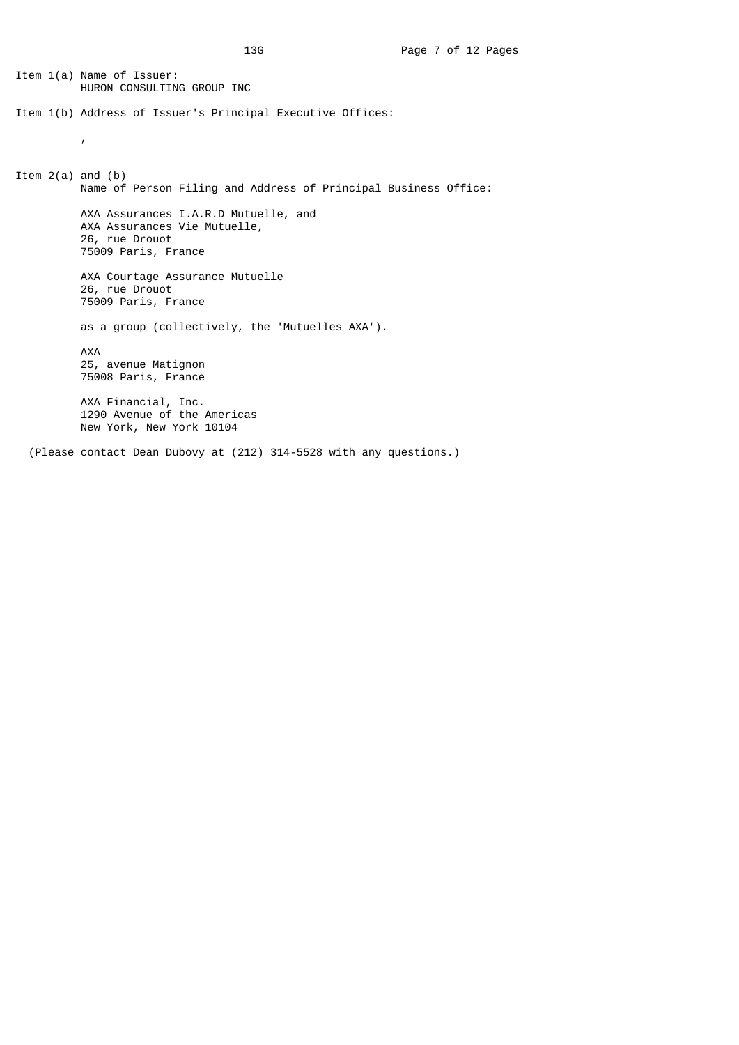Item 1(a) Name of Issuer: HURON CONSULTING GROUP INC Item 1(b) Address of Issuer's Principal Executive Offices: , Item  $2(a)$  and  $(b)$  Name of Person Filing and Address of Principal Business Office: AXA Assurances I.A.R.D Mutuelle, and AXA Assurances Vie Mutuelle, 26, rue Drouot 75009 Paris, France AXA Courtage Assurance Mutuelle 26, rue Drouot 75009 Paris, France as a group (collectively, the 'Mutuelles AXA'). AXA 25, avenue Matignon 75008 Paris, France AXA Financial, Inc. 1290 Avenue of the Americas New York, New York 10104 (Please contact Dean Dubovy at (212) 314-5528 with any questions.)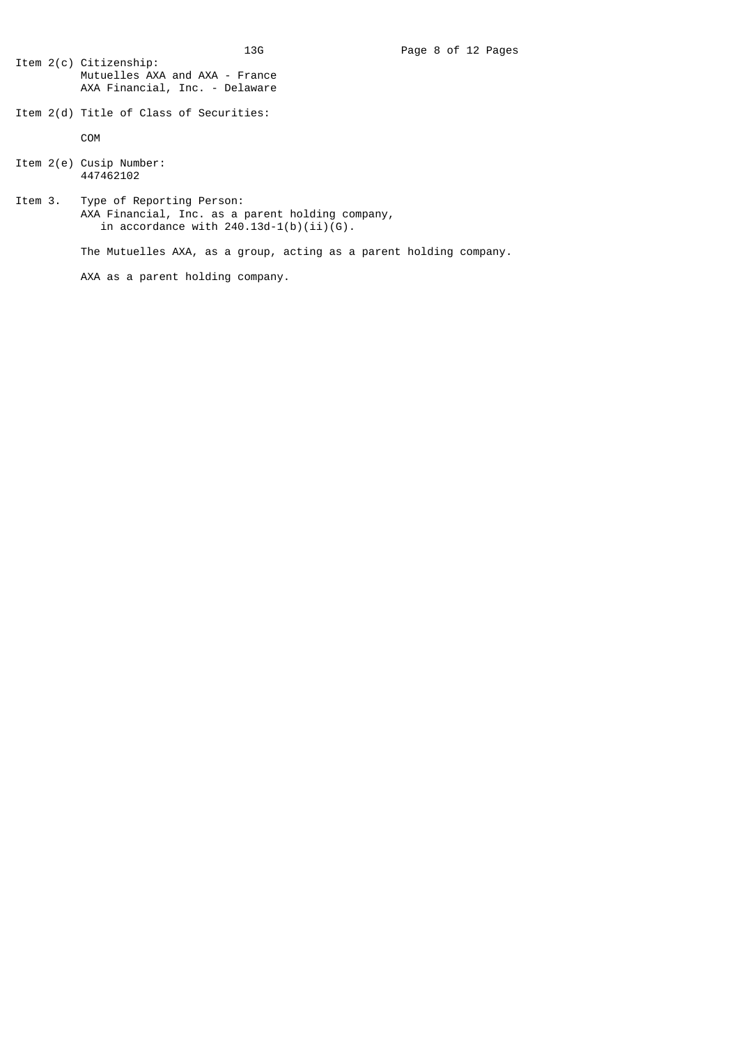- Item 2(c) Citizenship: Mutuelles AXA and AXA - France AXA Financial, Inc. - Delaware
- Item 2(d) Title of Class of Securities:

COM

- Item 2(e) Cusip Number: 447462102
- Item 3. Type of Reporting Person: AXA Financial, Inc. as a parent holding company, in accordance with 240.13d-1(b)(ii)(G).

The Mutuelles AXA, as a group, acting as a parent holding company.

AXA as a parent holding company.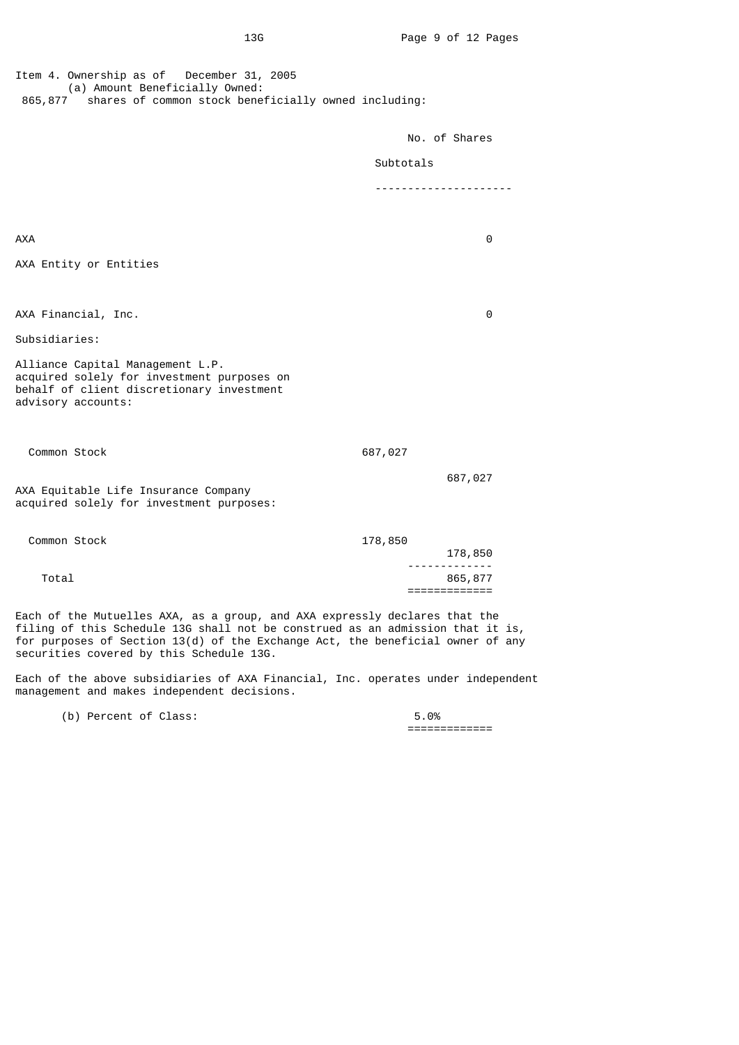| Item 4. Ownership as of December 31, 2005<br>(a) Amount Beneficially Owned:<br>shares of common stock beneficially owned including:<br>865,877    |                               |  |
|---------------------------------------------------------------------------------------------------------------------------------------------------|-------------------------------|--|
|                                                                                                                                                   | No. of Shares                 |  |
|                                                                                                                                                   | Subtotals                     |  |
|                                                                                                                                                   | -----------------             |  |
|                                                                                                                                                   |                               |  |
| AXA                                                                                                                                               | 0                             |  |
| AXA Entity or Entities                                                                                                                            |                               |  |
|                                                                                                                                                   |                               |  |
| AXA Financial, Inc.                                                                                                                               | 0                             |  |
| Subsidiaries:                                                                                                                                     |                               |  |
| Alliance Capital Management L.P.<br>acquired solely for investment purposes on<br>behalf of client discretionary investment<br>advisory accounts: |                               |  |
|                                                                                                                                                   |                               |  |
| Common Stock                                                                                                                                      | 687,027                       |  |
| AXA Equitable Life Insurance Company<br>acquired solely for investment purposes:                                                                  | 687,027                       |  |
| Common Stock                                                                                                                                      | 178,850<br>178,850            |  |
| Total                                                                                                                                             | .<br>865,877<br>============= |  |

Each of the Mutuelles AXA, as a group, and AXA expressly declares that the filing of this Schedule 13G shall not be construed as an admission that it is, for purposes of Section 13(d) of the Exchange Act, the beneficial owner of any securities covered by this Schedule 13G.

Each of the above subsidiaries of AXA Financial, Inc. operates under independent management and makes independent decisions.

(b) Percent of Class: 5.0%

=============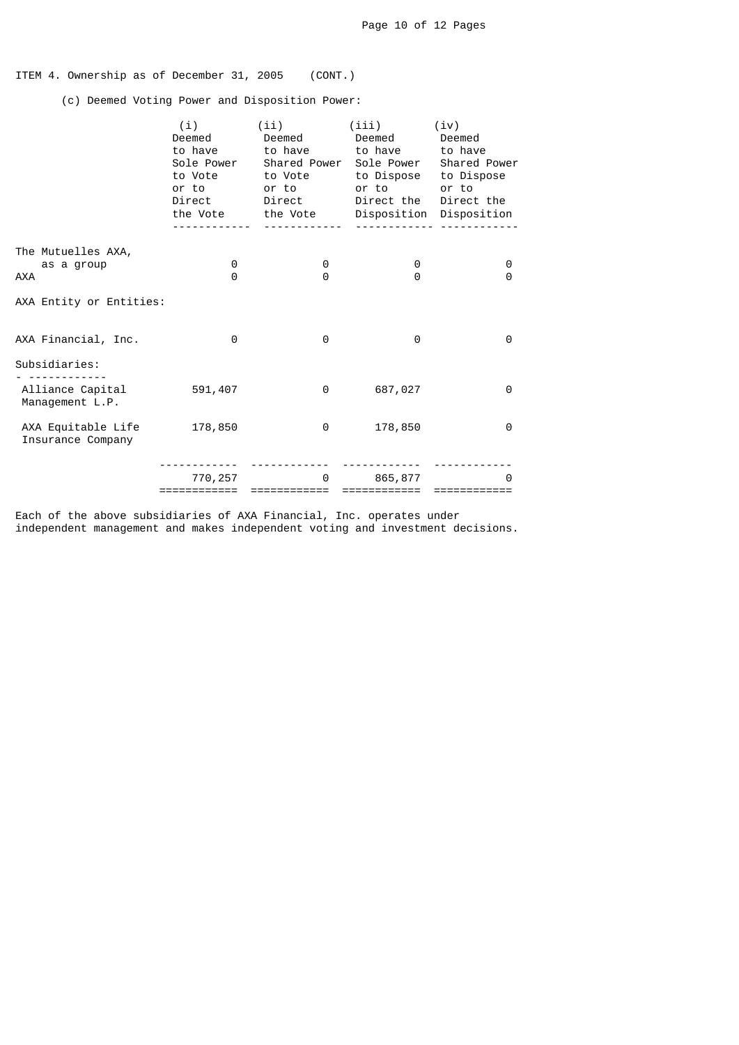# ITEM 4. Ownership as of December 31, 2005 (CONT.)

(c) Deemed Voting Power and Disposition Power:

|                                                | (i)<br>Deemed<br>to have<br>Sole Power<br>to Vote<br>or to<br>Direct | (ii)<br>Deemed<br>to have<br>Shared Power Sole Power<br>to Vote<br>or to<br>Direct<br>the Vote the Vote | (iii)<br>Deemed<br>to have<br>to Dispose to Dispose<br>or to<br>Direct the | (iv)<br>Deemed<br>to have<br>Shared Power<br>or to<br>Direct the<br>Disposition Disposition |
|------------------------------------------------|----------------------------------------------------------------------|---------------------------------------------------------------------------------------------------------|----------------------------------------------------------------------------|---------------------------------------------------------------------------------------------|
| The Mutuelles AXA,<br>as a group<br><b>AXA</b> | 0<br>$\Theta$                                                        | 0<br>0                                                                                                  | 0<br>$\Theta$                                                              | 0<br>0                                                                                      |
| AXA Entity or Entities:                        |                                                                      |                                                                                                         |                                                                            |                                                                                             |
| AXA Financial, Inc.                            | 0                                                                    | 0                                                                                                       | 0                                                                          | 0                                                                                           |
| Subsidiaries:                                  |                                                                      |                                                                                                         |                                                                            |                                                                                             |
| Alliance Capital<br>Management L.P.            | 591,407                                                              | 0                                                                                                       | 687,027                                                                    | 0                                                                                           |
| AXA Equitable Life<br>Insurance Company        | 178,850                                                              | 0                                                                                                       | 178,850                                                                    | 0                                                                                           |
|                                                | 770, 257<br>============                                             | 0<br>==========                                                                                         | 865,877<br>============                                                    | ี ค                                                                                         |

Each of the above subsidiaries of AXA Financial, Inc. operates under independent management and makes independent voting and investment decisions.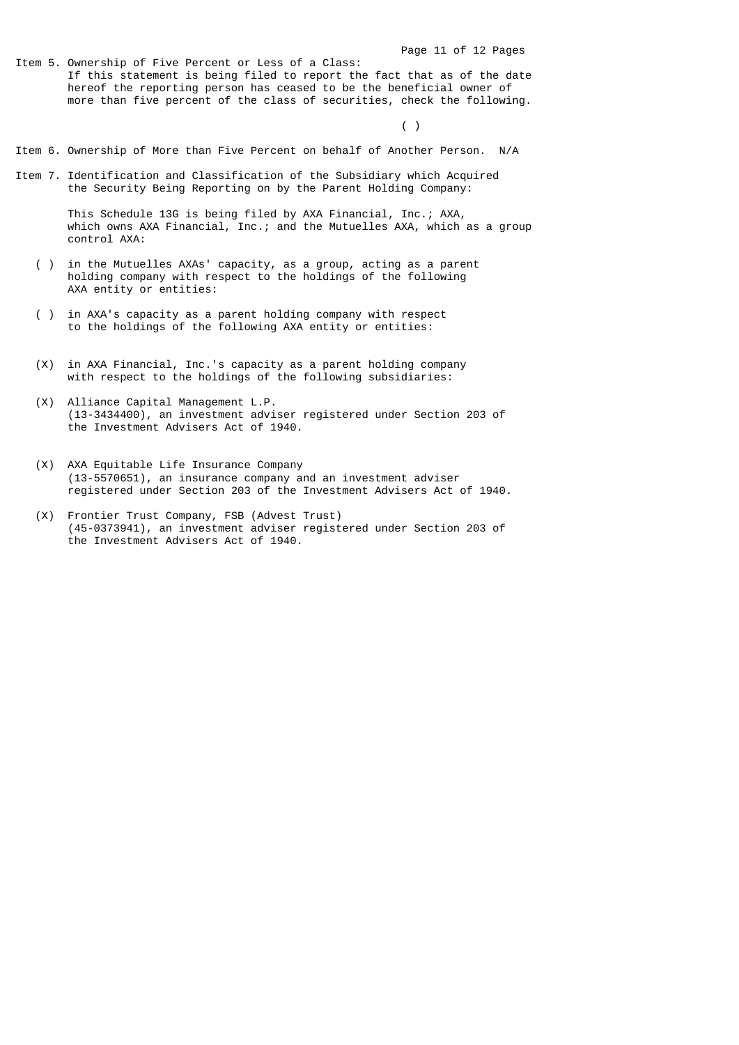Item 5. Ownership of Five Percent or Less of a Class: If this statement is being filed to report the fact that as of the date hereof the reporting person has ceased to be the beneficial owner of more than five percent of the class of securities, check the following.

 $\left( \begin{array}{c} \end{array} \right)$ 

- Item 6. Ownership of More than Five Percent on behalf of Another Person. N/A
- Item 7. Identification and Classification of the Subsidiary which Acquired the Security Being Reporting on by the Parent Holding Company:

 This Schedule 13G is being filed by AXA Financial, Inc.; AXA, which owns AXA Financial, Inc.; and the Mutuelles AXA, which as a group control AXA:

- ( ) in the Mutuelles AXAs' capacity, as a group, acting as a parent holding company with respect to the holdings of the following AXA entity or entities:
	- ( ) in AXA's capacity as a parent holding company with respect to the holdings of the following AXA entity or entities:
	- (X) in AXA Financial, Inc.'s capacity as a parent holding company with respect to the holdings of the following subsidiaries:
	- (X) Alliance Capital Management L.P. (13-3434400), an investment adviser registered under Section 203 of the Investment Advisers Act of 1940.
	- (X) AXA Equitable Life Insurance Company (13-5570651), an insurance company and an investment adviser registered under Section 203 of the Investment Advisers Act of 1940.
	- (X) Frontier Trust Company, FSB (Advest Trust) (45-0373941), an investment adviser registered under Section 203 of the Investment Advisers Act of 1940.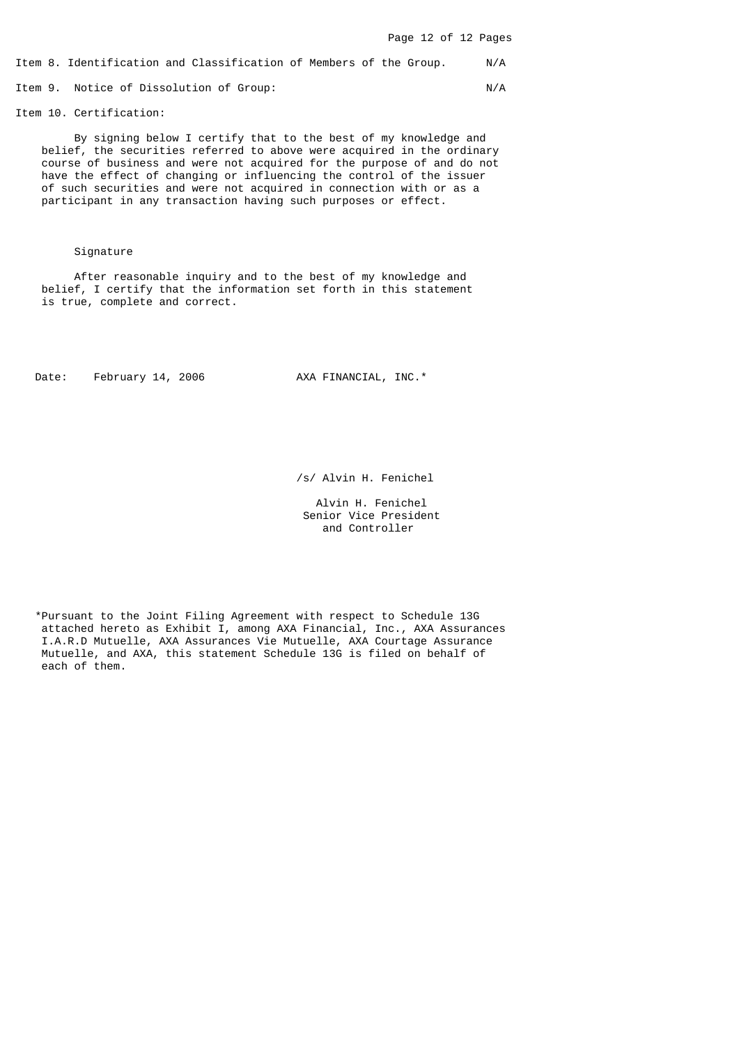Item 8. Identification and Classification of Members of the Group. N/A

Item 9. Notice of Dissolution of Group: N/A

Item 10. Certification:

 By signing below I certify that to the best of my knowledge and belief, the securities referred to above were acquired in the ordinary course of business and were not acquired for the purpose of and do not have the effect of changing or influencing the control of the issuer of such securities and were not acquired in connection with or as a participant in any transaction having such purposes or effect.

## Signature

 After reasonable inquiry and to the best of my knowledge and belief, I certify that the information set forth in this statement is true, complete and correct.

Date: February 14, 2006 AXA FINANCIAL, INC.\*

/s/ Alvin H. Fenichel

 Alvin H. Fenichel Senior Vice President and Controller

 \*Pursuant to the Joint Filing Agreement with respect to Schedule 13G attached hereto as Exhibit I, among AXA Financial, Inc., AXA Assurances I.A.R.D Mutuelle, AXA Assurances Vie Mutuelle, AXA Courtage Assurance Mutuelle, and AXA, this statement Schedule 13G is filed on behalf of each of them.